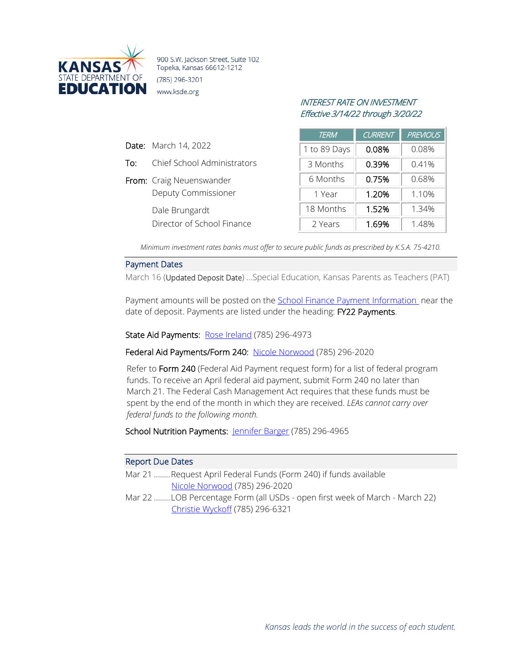

900 S.W. Jackson Street, Suite 102 Topeka, Kansas 66612-1212 (785) 296-3201 www.ksde.org

# INTEREST RATE ON INVESTMENT Effective 3/14/22 through 3/20/22

| <b>TERM</b>  | <b>CURRENT</b> | <b>PREVIOUS</b> |
|--------------|----------------|-----------------|
| 1 to 89 Days | 0.08%          | 0.08%           |
| 3 Months     | 0.39%          | 0.41%           |
| 6 Months     | 0.75%          | 0.68%           |
| 1 Year       | 1.20%          | 1.10%           |
| 18 Months    | 1.52%          | 1.34%           |
| 2 Years      | 1.69%          | 1.48%           |

*Minimum investment rates banks must offer to secure public funds as prescribed by K.S.A. 75-4210.*

#### Payment Dates

Date: March 14, 2022

To: Chief School Administrators

Deputy Commissioner

Director of School Finance

From: Craig Neuenswander

Dale Brungardt

March 16 (Updated Deposit Date) …Special Education, Kansas Parents as Teachers (PAT)

Payment amounts will be posted on the School Finance [Payment Information](http://www.ksde.org/Agency/Fiscal-and-Administrative-Services/School-Finance/Payment-Information) near the date of deposit. Payments are listed under the heading: FY22 Payments.

State Aid Payments: [Rose Ireland](mailto:rireland@ksde.org) (785) 296-4973

Federal Aid Payments/Form 240: [Nicole Norwood](mailto:nnorwood@ksde.org) (785) 296-2020

Refer to Form 240 (Federal Aid Payment request form) for a list of federal program funds. To receive an April federal aid payment, submit Form 240 no later than March 21. The Federal Cash Management Act requires that these funds must be spent by the end of the month in which they are received. *LEAs cannot carry over federal funds to the following month.*

School Nutrition Payments: [Jennifer Barger](mailto:jbarger@ksde.org) (785) 296-4965

#### Report Due Dates

- Mar 21 ........Request April Federal Funds (Form 240) if funds available [Nicole Norwood](mailto:nnorwood@ksde.org) (785) 296-2020
- Mar 22 ........LOB Percentage Form (all USDs open first week of March March 22) [Christie Wyckoff](mailto:cwyckoff@ksde.org) (785) 296-6321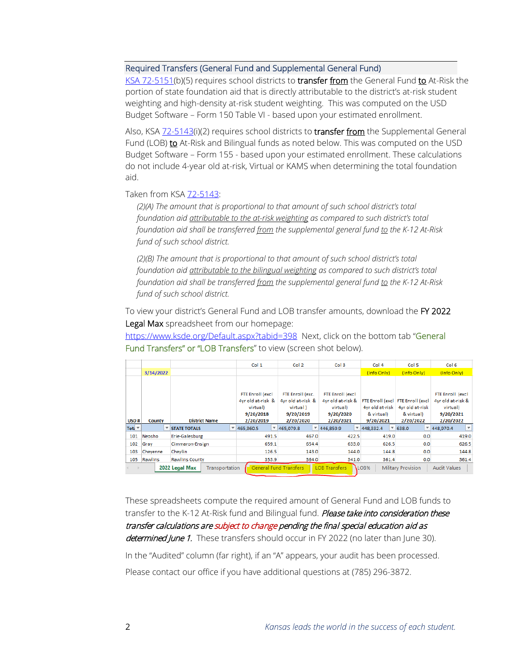## Required Transfers (General Fund and Supplemental General Fund)

[KSA 72-5151\(](https://www.ksrevisor.org/statutes/chapters/ch72/072_051_0051.html)b)(5) requires school districts to **transfer from** the General Fund to At-Risk the portion of state foundation aid that is directly attributable to the district's at-risk student weighting and high-density at-risk student weighting. This was computed on the USD Budget Software – Form 150 Table VI - based upon your estimated enrollment.

Also, KSA [72-5143\(](http://ksrevisor.org/statutes/chapters/ch72/072_051_0043.html)i)(2) requires school districts to transfer from the Supplemental General Fund (LOB) to At-Risk and Bilingual funds as noted below. This was computed on the USD Budget Software – Form 155 - based upon your estimated enrollment. These calculations do not include 4-year old at-risk, Virtual or KAMS when determining the total foundation aid.

#### Taken from KSA [72-5143:](http://ksrevisor.org/statutes/chapters/ch72/072_051_0043.html)

*(2)(A) The amount that is proportional to that amount of such school district's total foundation aid attributable to the at-risk weighting as compared to such district's total foundation aid shall be transferred from the supplemental general fund to the K-12 At-Risk fund of such school district.*

*(2)(B) The amount that is proportional to that amount of such school district's total foundation aid attributable to the bilingual weighting as compared to such district's total foundation aid shall be transferred from the supplemental general fund to the K-12 At-Risk fund of such school district.*

To view your district's General Fund and LOB transfer amounts, download the FY 2022 Legal Max spreadsheet from our homepage:

<https://www.ksde.org/Default.aspx?tabid=398>Next, click on the bottom tab "General Fund Transfers" or "LOB Transfers" to view (screen shot below).

|                                        |                                  |                     |                                                                                    | Col 1          |                                                                             | Col 2                                                                       | Col 3                 |                                            | Col 4                 |                                                                                 | Col 5                     |                                                                             | Col 6                 |                          |
|----------------------------------------|----------------------------------|---------------------|------------------------------------------------------------------------------------|----------------|-----------------------------------------------------------------------------|-----------------------------------------------------------------------------|-----------------------|--------------------------------------------|-----------------------|---------------------------------------------------------------------------------|---------------------------|-----------------------------------------------------------------------------|-----------------------|--------------------------|
|                                        | 3/14/2022                        |                     |                                                                                    |                |                                                                             |                                                                             |                       |                                            | (Info Only)           |                                                                                 | (Info Only)               |                                                                             | (Info Only)           |                          |
| <b>District Name</b><br>USD#<br>County |                                  |                     | <b>FTE Enroll (excl</b><br>4yr old at-risk &<br>virtual)<br>9/20/2018<br>2/20/2019 |                | FTE Enroll (exc.<br>4vr old at-risk &<br>virtual)<br>9/20/2019<br>2/20/2020 | FTE Enroll (excl<br>4yr old at-risk &<br>virtual)<br>9/20/2020<br>2/20/2021 |                       | 4vr old at-risk<br>& virtual)<br>9/20/2021 |                       | FTE Enroll (excl FTE Enroll (excl<br>4vr old at-risk<br>& virtual)<br>2/20/2022 |                           | FTE Enroll (excl<br>4yr old at-risk &<br>virtual)<br>9/20/2021<br>2/20/2022 |                       |                          |
| Tota $\tau$                            | ▼                                | <b>STATE TOTALS</b> |                                                                                    | 7465.360.5     |                                                                             | 465.079.8                                                                   | $\frac{446,859.9}{ }$ |                                            | $\frac{448,332.4}{9}$ |                                                                                 | 7638.0                    |                                                                             | $\frac{448.970.4}{9}$ | $\overline{\phantom{a}}$ |
| 101                                    | Neosho                           | Erie-Galesburg      |                                                                                    | 491.5          |                                                                             | 467.0                                                                       | 422.5                 |                                            |                       | 419.0                                                                           | 0.0                       |                                                                             |                       | 419.0                    |
| 102                                    | Gray                             | Cimmaron-Ensign     |                                                                                    | 659.1          |                                                                             | 654.4                                                                       | 633.0                 |                                            |                       | 626.5                                                                           | 0.0                       |                                                                             |                       | 626.5                    |
| 103                                    | Cheyenne                         | Chevlin             |                                                                                    | 126.5          |                                                                             | 143.0                                                                       | 144.0                 |                                            | 144.8                 |                                                                                 | 0.0                       |                                                                             |                       | 144.8                    |
| 105                                    | Rawlins<br><b>Rawlins County</b> |                     |                                                                                    | 353.9<br>364.0 |                                                                             | 341.0                                                                       |                       | 361.4                                      |                       | 0.0                                                                             |                           | 361.4                                                                       |                       |                          |
|                                        |                                  | 2022 Legal Max      | Transportation                                                                     |                |                                                                             | <b>General Fund Transfers</b>                                               | <b>LOB Transfers</b>  |                                            | LOB <sub>%</sub>      |                                                                                 | <b>Military Provision</b> |                                                                             | <b>Audit Values</b>   |                          |

These spreadsheets compute the required amount of General Fund and LOB funds to transfer to the K-12 At-Risk fund and Bilingual fund. Please take into consideration these transfer calculations are subject to change pending the final special education aid as determined June 1. These transfers should occur in FY 2022 (no later than June 30).

In the "Audited" column (far right), if an "A" appears, your audit has been processed. Please contact our office if you have additional questions at (785) 296-3872.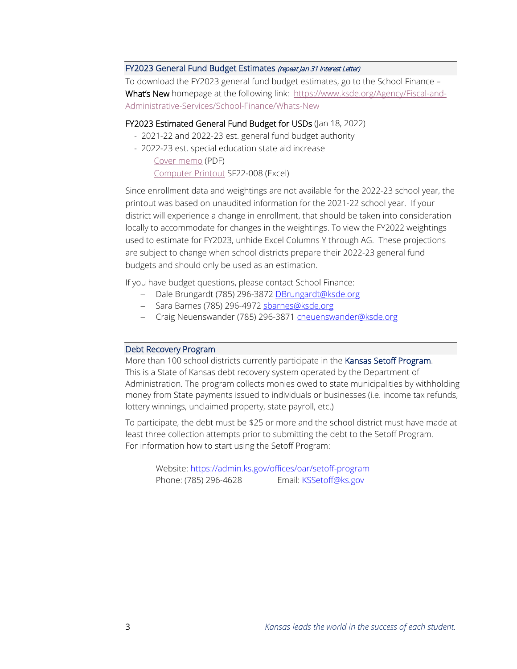### FY2023 General Fund Budget Estimates (repeat Jan 31 Interest Letter)

To download the FY2023 general fund budget estimates, go to the School Finance – What's New homepage at the following link: [https://www.ksde.org/Agency/Fiscal-and-](https://www.ksde.org/Agency/Fiscal-and-Administrative-Services/School-Finance/Whats-New)[Administrative-Services/School-Finance/Whats-New](https://www.ksde.org/Agency/Fiscal-and-Administrative-Services/School-Finance/Whats-New)

#### FY2023 Estimated General Fund Budget for USDs (Jan 18, 2022)

- 2021-22 and 2022-23 est. general fund budget authority
- 2022-23 est. special education state aid increase Cover [memo](https://www.ksde.org/Portals/0/School%20Finance/Action%20Items/SF22-008--CX--est%20inc%20GF%20budget%20authority.pdf?ver=2022-01-27-135716-420) (PDF)

[Computer](https://www.ksde.org/Portals/0/School%20Finance/Action%20Items/SF22-008.xlsx?ver=2022-01-26-165217-970) Printout SF22-008 (Excel)

Since enrollment data and weightings are not available for the 2022-23 school year, the printout was based on unaudited information for the 2021-22 school year. If your district will experience a change in enrollment, that should be taken into consideration locally to accommodate for changes in the weightings. To view the FY2022 weightings used to estimate for FY2023, unhide Excel Columns Y through AG. These projections are subject to change when school districts prepare their 2022-23 general fund budgets and should only be used as an estimation.

If you have budget questions, please contact School Finance:

- − Dale Brungardt (785) 296-3872 [DBrungardt@ksde.org](mailto:DBrungardt@ksde.org)
- − Sara Barnes (785) 296-4972 [sbarnes@ksde.org](mailto:sbarnes@ksde.org)
- − Craig Neuenswander (785) 296-3871 [cneuenswander@ksde.org](mailto:cneuenswander@ksde.org)

#### Debt Recovery Program

More than 100 school districts currently participate in the Kansas Setoff Program. This is a State of Kansas debt recovery system operated by the Department of Administration. The program collects monies owed to state municipalities by withholding money from State payments issued to individuals or businesses (i.e. income tax refunds, lottery winnings, unclaimed property, state payroll, etc.)

To participate, the debt must be \$25 or more and the school district must have made at least three collection attempts prior to submitting the debt to the Setoff Program. For information how to start using the Setoff Program:

Website[: https://admin.ks.gov/offices/oar/setoff-program](https://admin.ks.gov/offices/oar/setoff-program) Phone: (785) 296-4628 Email[: KSSetoff@ks.gov](mailto:KSSetoff@ks.gov)